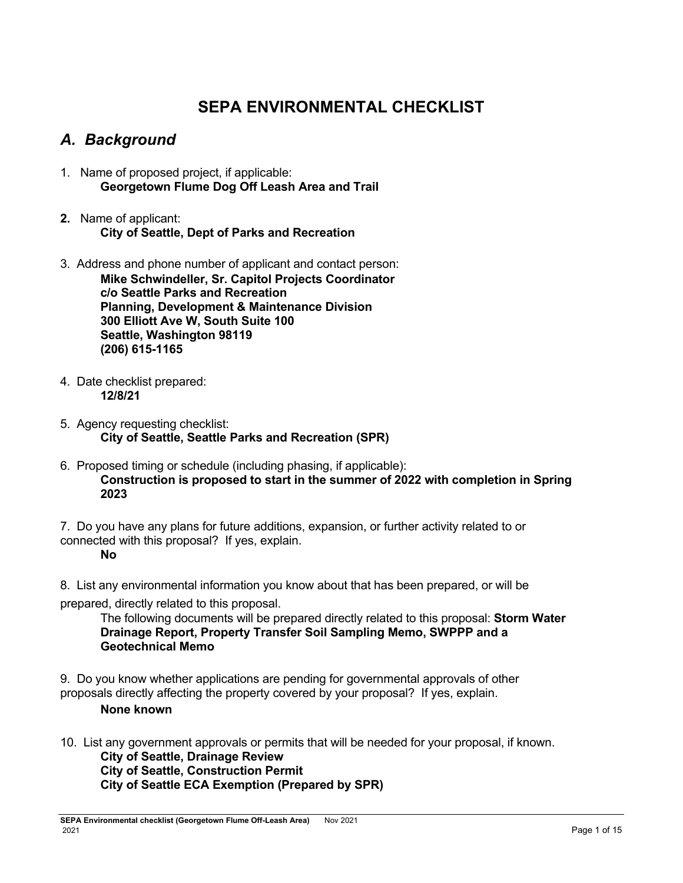# **SEPA ENVIRONMENTAL CHECKLIST**

# *A. Background*

- 1. Name of proposed project, if applicable: **Georgetown Flume Dog Off Leash Area and Trail**
- **2.** Name of applicant: **City of Seattle, Dept of Parks and Recreation**
- 3. Address and phone number of applicant and contact person: **Mike Schwindeller, Sr. Capitol Projects Coordinator c/o Seattle Parks and Recreation Planning, Development & Maintenance Division 300 Elliott Ave W, South Suite 100 Seattle, Washington 98119 (206) 615-1165**
- 4. Date checklist prepared: **12/8/21**
- 5. Agency requesting checklist: **City of Seattle, Seattle Parks and Recreation (SPR)**
- 6. Proposed timing or schedule (including phasing, if applicable): **Construction is proposed to start in the summer of 2022 with completion in Spring 2023**

7. Do you have any plans for future additions, expansion, or further activity related to or connected with this proposal? If yes, explain.

**No**

8. List any environmental information you know about that has been prepared, or will be

prepared, directly related to this proposal.

The following documents will be prepared directly related to this proposal: **Storm Water Drainage Report, Property Transfer Soil Sampling Memo, SWPPP and a Geotechnical Memo**

9. Do you know whether applications are pending for governmental approvals of other proposals directly affecting the property covered by your proposal? If yes, explain.

### **None known**

10. List any government approvals or permits that will be needed for your proposal, if known.

**City of Seattle, Drainage Review City of Seattle, Construction Permit City of Seattle ECA Exemption (Prepared by SPR)**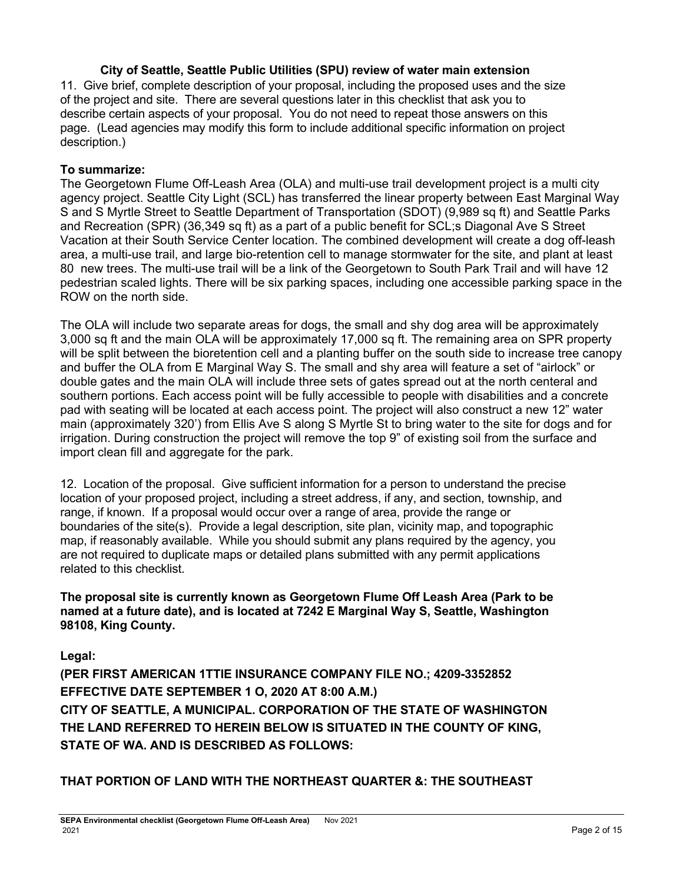### **City of Seattle, Seattle Public Utilities (SPU) review of water main extension**

11. Give brief, complete description of your proposal, including the proposed uses and the size of the project and site. There are several questions later in this checklist that ask you to describe certain aspects of your proposal. You do not need to repeat those answers on this page. (Lead agencies may modify this form to include additional specific information on project description.)

#### **To summarize:**

The Georgetown Flume Off-Leash Area (OLA) and multi-use trail development project is a multi city agency project. Seattle City Light (SCL) has transferred the linear property between East Marginal Way S and S Myrtle Street to Seattle Department of Transportation (SDOT) (9,989 sq ft) and Seattle Parks and Recreation (SPR) (36,349 sq ft) as a part of a public benefit for SCL;s Diagonal Ave S Street Vacation at their South Service Center location. The combined development will create a dog off-leash area, a multi-use trail, and large bio-retention cell to manage stormwater for the site, and plant at least 80 new trees. The multi-use trail will be a link of the Georgetown to South Park Trail and will have 12 pedestrian scaled lights. There will be six parking spaces, including one accessible parking space in the ROW on the north side.

The OLA will include two separate areas for dogs, the small and shy dog area will be approximately 3,000 sq ft and the main OLA will be approximately 17,000 sq ft. The remaining area on SPR property will be split between the bioretention cell and a planting buffer on the south side to increase tree canopy and buffer the OLA from E Marginal Way S. The small and shy area will feature a set of "airlock" or double gates and the main OLA will include three sets of gates spread out at the north centeral and southern portions. Each access point will be fully accessible to people with disabilities and a concrete pad with seating will be located at each access point. The project will also construct a new 12" water main (approximately 320') from Ellis Ave S along S Myrtle St to bring water to the site for dogs and for irrigation. During construction the project will remove the top 9" of existing soil from the surface and import clean fill and aggregate for the park.

12. Location of the proposal. Give sufficient information for a person to understand the precise location of your proposed project, including a street address, if any, and section, township, and range, if known. If a proposal would occur over a range of area, provide the range or boundaries of the site(s). Provide a legal description, site plan, vicinity map, and topographic map, if reasonably available. While you should submit any plans required by the agency, you are not required to duplicate maps or detailed plans submitted with any permit applications related to this checklist.

**The proposal site is currently known as Georgetown Flume Off Leash Area (Park to be named at a future date), and is located at 7242 E Marginal Way S, Seattle, Washington 98108, King County.**

**Legal:** 

**(PER FlRST AMERICAN 1TTlE INSURANCE COMPANY FlLE NO.; 4209-3352852 EFFECTIVE DATE SEPTEMBER 1 O, 2020 AT 8:00 A.M.) CITY OF SEATTLE, A MUNICIPAL. CORPORATION OF THE STATE OF WASHINGTON THE LAND REFERRED TO HEREIN BELOW IS SITUATED IN THE COUNTY OF KING, STATE OF WA. AND IS DESCRIBED AS FOLLOWS:**

**THAT PORTION OF LAND WITH THE NORTHEAST QUARTER &: THE SOUTHEAST**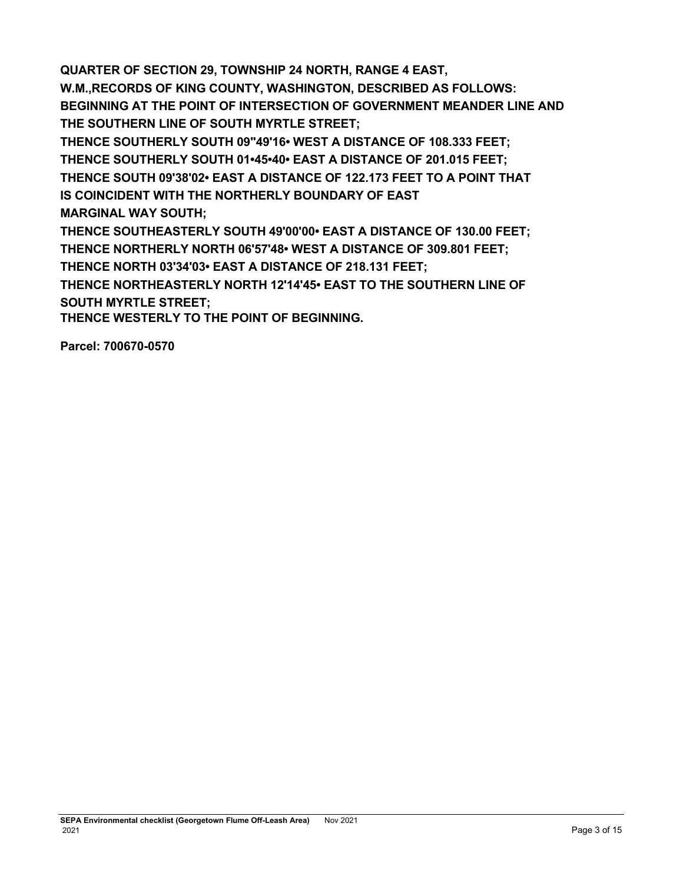**QUARTER OF SECTION 29, TOWNSHIP 24 NORTH, RANGE 4 EAST, W.M.,RECORDS OF KING COUNTY, WASHINGTON, DESCRIBED AS FOLLOWS: BEGINNING AT THE POINT OF INTERSECTION OF GOVERNMENT MEANDER LINE AND THE SOUTHERN LINE OF SOUTH MYRTLE STREET; THENCE SOUTHERLY SOUTH 09"49'16• WEST A DISTANCE OF 108.333 FEET; THENCE SOUTHERLY SOUTH 01•45•40• EAST A DISTANCE OF 201.015 FEET; THENCE SOUTH 09'38'02• EAST A DISTANCE OF 122.173 FEET TO A POINT THAT IS COINCIDENT WITH THE NORTHERLY BOUNDARY OF EAST MARGINAL WAY SOUTH; THENCE SOUTHEASTERLY SOUTH 49'00'00• EAST A DISTANCE OF 130.00 FEET; THENCE NORTHERLY NORTH 06'57'48• WEST A DISTANCE OF 309.801 FEET; THENCE NORTH 03'34'03• EAST A DISTANCE OF 218.131 FEET; THENCE NORTHEASTERLY NORTH 12'14'45• EAST TO THE SOUTHERN LINE OF SOUTH MYRTLE STREET;**

**THENCE WESTERLY TO THE POINT OF BEGINNING.**

**Parcel: 700670-0570**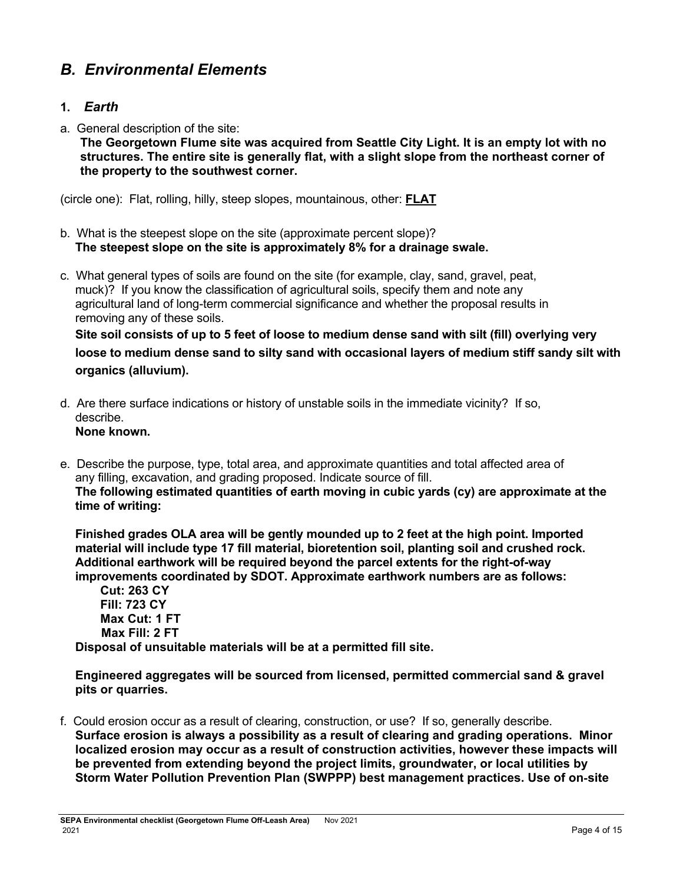# *B. Environmental Elements*

## **1.** *Earth*

a. General description of the site:

**The Georgetown Flume site was acquired from Seattle City Light. It is an empty lot with no structures. The entire site is generally flat, with a slight slope from the northeast corner of the property to the southwest corner.**

(circle one): Flat, rolling, hilly, steep slopes, mountainous, other: **FLAT**

- b. What is the steepest slope on the site (approximate percent slope)? **The steepest slope on the site is approximately 8% for a drainage swale.**
- c. What general types of soils are found on the site (for example, clay, sand, gravel, peat, muck)? If you know the classification of agricultural soils, specify them and note any agricultural land of long-term commercial significance and whether the proposal results in removing any of these soils.

**Site soil consists of up to 5 feet of loose to medium dense sand with silt (fill) overlying very loose to medium dense sand to silty sand with occasional layers of medium stiff sandy silt with organics (alluvium).**

- d. Are there surface indications or history of unstable soils in the immediate vicinity? If so, describe. **None known.**
- e. Describe the purpose, type, total area, and approximate quantities and total affected area of any filling, excavation, and grading proposed. Indicate source of fill. **The following estimated quantities of earth moving in cubic yards (cy) are approximate at the time of writing:**

**Finished grades OLA area will be gently mounded up to 2 feet at the high point. Imported material will include type 17 fill material, bioretention soil, planting soil and crushed rock. Additional earthwork will be required beyond the parcel extents for the right-of-way improvements coordinated by SDOT. Approximate earthwork numbers are as follows:**

**Cut: 263 CY Fill: 723 CY Max Cut: 1 FT Max Fill: 2 FT Disposal of unsuitable materials will be at a permitted fill site.**

**Engineered aggregates will be sourced from licensed, permitted commercial sand & gravel pits or quarries.**

f. Could erosion occur as a result of clearing, construction, or use? If so, generally describe. **Surface erosion is always a possibility as a result of clearing and grading operations. Minor localized erosion may occur as a result of construction activities, however these impacts will be prevented from extending beyond the project limits, groundwater, or local utilities by Storm Water Pollution Prevention Plan (SWPPP) best management practices. Use of on**‐**site**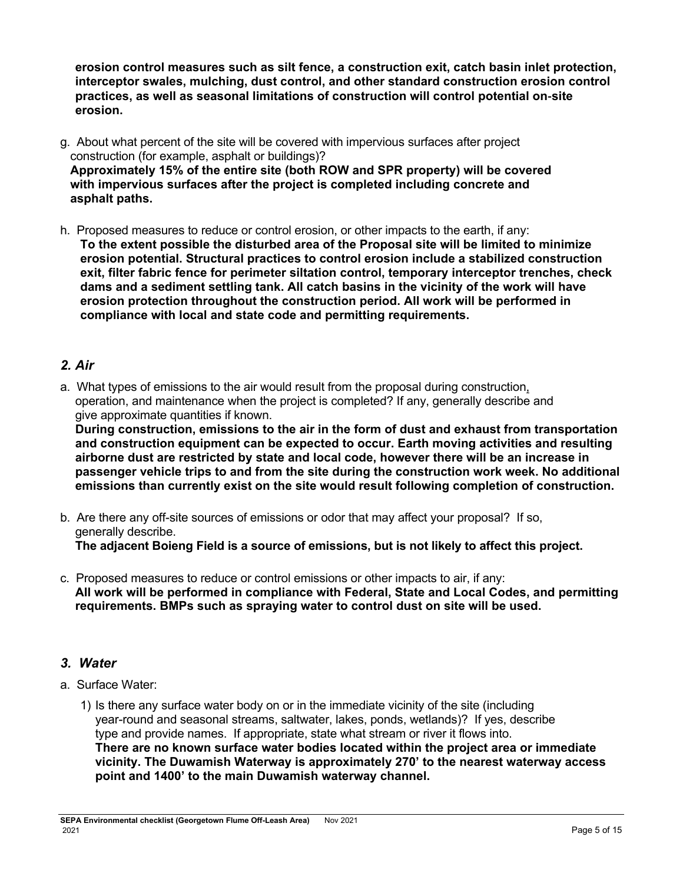**erosion control measures such as silt fence, a construction exit, catch basin inlet protection, interceptor swales, mulching, dust control, and other standard construction erosion control practices, as well as seasonal limitations of construction will control potential on**‐**site erosion.**

- g. About what percent of the site will be covered with impervious surfaces after project construction (for example, asphalt or buildings)? **Approximately 15% of the entire site (both ROW and SPR property) will be covered with impervious surfaces after the project is completed including concrete and asphalt paths.**
- h. Proposed measures to reduce or control erosion, or other impacts to the earth, if any: **To the extent possible the disturbed area of the Proposal site will be limited to minimize erosion potential. Structural practices to control erosion include a stabilized construction exit, filter fabric fence for perimeter siltation control, temporary interceptor trenches, check dams and a sediment settling tank. All catch basins in the vicinity of the work will have erosion protection throughout the construction period. All work will be performed in compliance with local and state code and permitting requirements.**

## *2. Air*

a. What types of emissions to the air would result from the proposal during construction, operation, and maintenance when the project is completed? If any, generally describe and give approximate quantities if known.

**During construction, emissions to the air in the form of dust and exhaust from transportation and construction equipment can be expected to occur. Earth moving activities and resulting airborne dust are restricted by state and local code, however there will be an increase in passenger vehicle trips to and from the site during the construction work week. No additional emissions than currently exist on the site would result following completion of construction.**

- b. Are there any off-site sources of emissions or odor that may affect your proposal? If so, generally describe. **The adjacent Boieng Field is a source of emissions, but is not likely to affect this project.**
- c. Proposed measures to reduce or control emissions or other impacts to air, if any: **All work will be performed in compliance with Federal, State and Local Codes, and permitting requirements. BMPs such as spraying water to control dust on site will be used.**

# *3. Water*

- a. Surface Water:
	- 1) Is there any surface water body on or in the immediate vicinity of the site (including year-round and seasonal streams, saltwater, lakes, ponds, wetlands)? If yes, describe type and provide names. If appropriate, state what stream or river it flows into. **There are no known surface water bodies located within the project area or immediate vicinity. The Duwamish Waterway is approximately 270' to the nearest waterway access point and 1400' to the main Duwamish waterway channel.**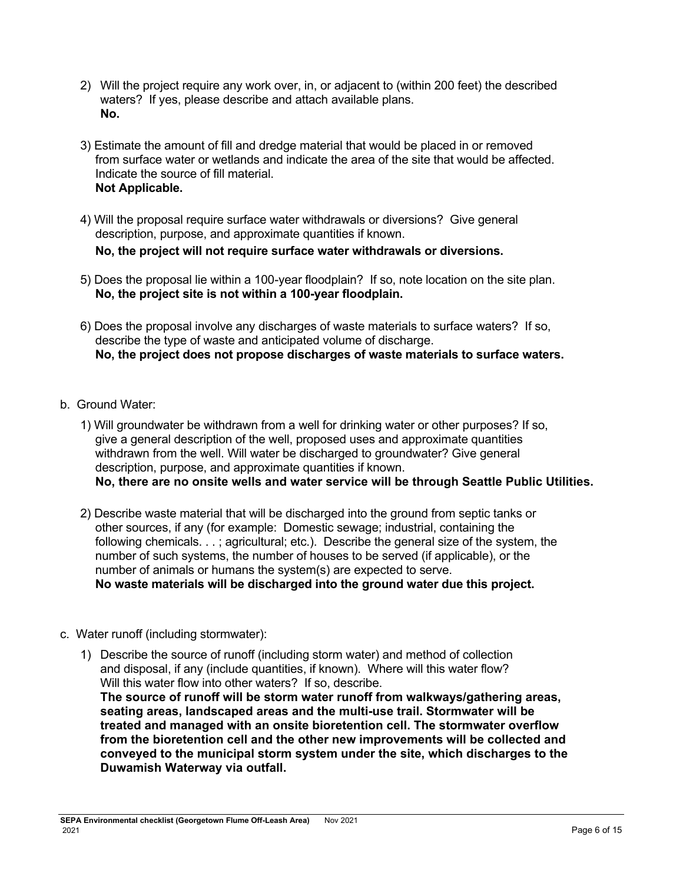- 2) Will the project require any work over, in, or adjacent to (within 200 feet) the described waters? If yes, please describe and attach available plans. **No.**
- 3) Estimate the amount of fill and dredge material that would be placed in or removed from surface water or wetlands and indicate the area of the site that would be affected. Indicate the source of fill material. **Not Applicable.**
- 4) Will the proposal require surface water withdrawals or diversions? Give general description, purpose, and approximate quantities if known. **No, the project will not require surface water withdrawals or diversions.**
- 5) Does the proposal lie within a 100-year floodplain? If so, note location on the site plan. **No, the project site is not within a 100-year floodplain.**
- 6) Does the proposal involve any discharges of waste materials to surface waters? If so, describe the type of waste and anticipated volume of discharge. **No, the project does not propose discharges of waste materials to surface waters.**
- b. Ground Water:
	- 1) Will groundwater be withdrawn from a well for drinking water or other purposes? If so, give a general description of the well, proposed uses and approximate quantities withdrawn from the well. Will water be discharged to groundwater? Give general description, purpose, and approximate quantities if known. **No, there are no onsite wells and water service will be through Seattle Public Utilities.**
	- 2) Describe waste material that will be discharged into the ground from septic tanks or other sources, if any (for example: Domestic sewage; industrial, containing the following chemicals. . . ; agricultural; etc.). Describe the general size of the system, the number of such systems, the number of houses to be served (if applicable), or the number of animals or humans the system(s) are expected to serve. **No waste materials will be discharged into the ground water due this project.**
- c. Water runoff (including stormwater):
	- 1) Describe the source of runoff (including storm water) and method of collection and disposal, if any (include quantities, if known). Where will this water flow? Will this water flow into other waters? If so, describe. **The source of runoff will be storm water runoff from walkways/gathering areas, seating areas, landscaped areas and the multi-use trail. Stormwater will be treated and managed with an onsite bioretention cell. The stormwater overflow from the bioretention cell and the other new improvements will be collected and conveyed to the municipal storm system under the site, which discharges to the**

**Duwamish Waterway via outfall.**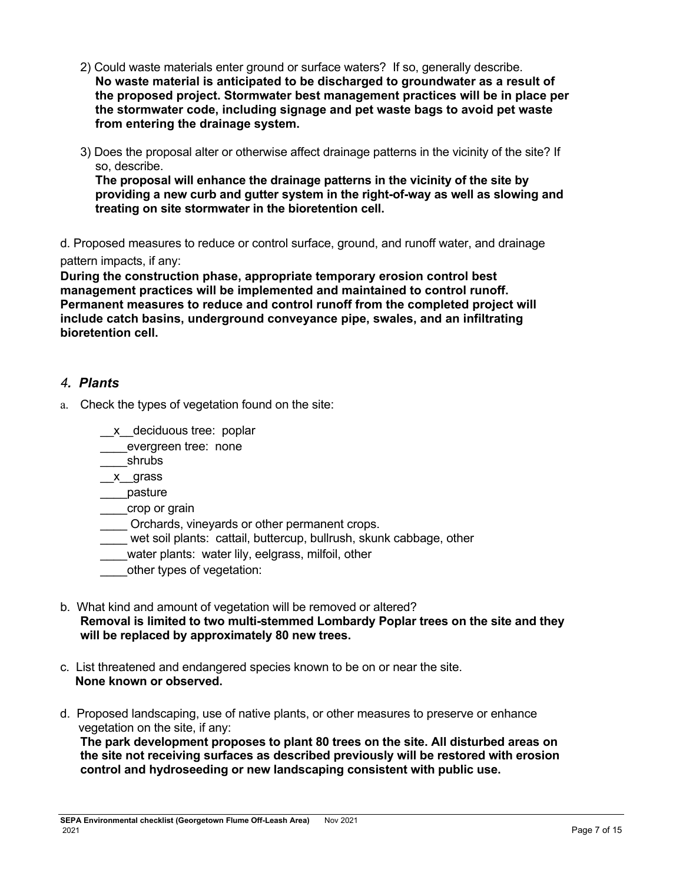- 2) Could waste materials enter ground or surface waters? If so, generally describe. **No waste material is anticipated to be discharged to groundwater as a result of the proposed project. Stormwater best management practices will be in place per the stormwater code, including signage and pet waste bags to avoid pet waste from entering the drainage system.**
- 3) Does the proposal alter or otherwise affect drainage patterns in the vicinity of the site? If so, describe.

**The proposal will enhance the drainage patterns in the vicinity of the site by providing a new curb and gutter system in the right-of-way as well as slowing and treating on site stormwater in the bioretention cell.**

d. Proposed measures to reduce or control surface, ground, and runoff water, and drainage pattern impacts, if any:

**During the construction phase, appropriate temporary erosion control best management practices will be implemented and maintained to control runoff. Permanent measures to reduce and control runoff from the completed project will include catch basins, underground conveyance pipe, swales, and an infiltrating bioretention cell.**

### *4. Plants*

- a. Check the types of vegetation found on the site:
	- \_\_x\_\_deciduous tree: poplar
	- evergreen tree: none
	- \_\_\_\_shrubs
	- \_\_x\_\_grass
	- \_\_\_\_pasture
	- \_\_\_\_crop or grain
	- Orchards, vineyards or other permanent crops.
	- wet soil plants: cattail, buttercup, bullrush, skunk cabbage, other
	- water plants: water lily, eelgrass, milfoil, other
	- other types of vegetation:
- b. What kind and amount of vegetation will be removed or altered? **Removal is limited to two multi-stemmed Lombardy Poplar trees on the site and they will be replaced by approximately 80 new trees.**
- c. List threatened and endangered species known to be on or near the site. **None known or observed.**
- d. Proposed landscaping, use of native plants, or other measures to preserve or enhance vegetation on the site, if any:

**The park development proposes to plant 80 trees on the site. All disturbed areas on the site not receiving surfaces as described previously will be restored with erosion control and hydroseeding or new landscaping consistent with public use.**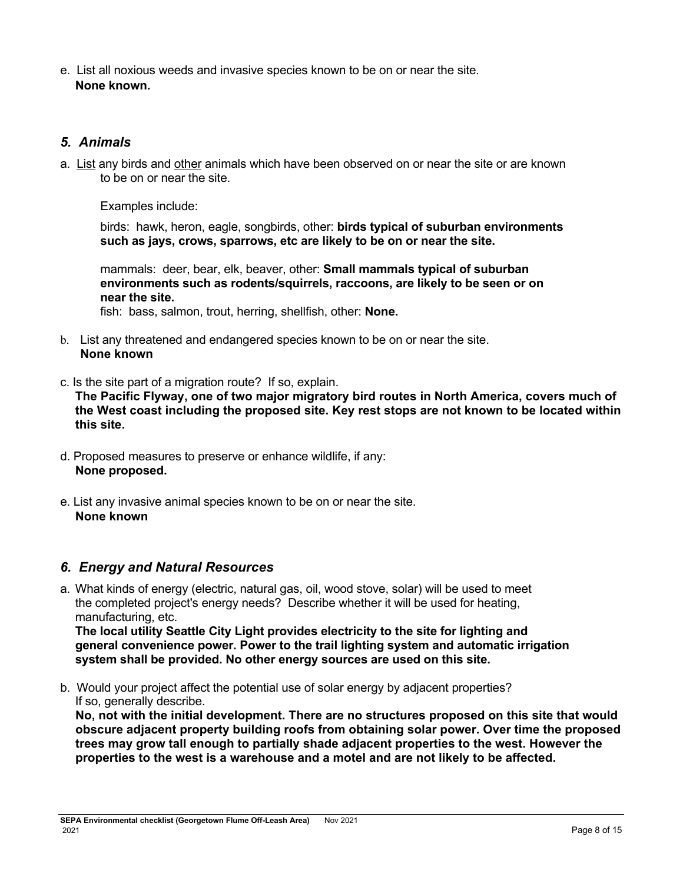e. List all noxious weeds and invasive species known to be on or near the site. **None known.**

## *5. Animals*

a. List any birds and other anim[als which have been observed on or near the site o](https://ecology.wa.gov/Regulations-Permits/SEPA/Environmental-review/SEPA-guidance/Checklist-guidancel#5.%20Animals)r are known to be on or near the site.

Examples include:

birds: hawk, heron, eagle, songbirds, other: **birds typical of suburban environments such as jays, crows, sparrows, etc are likely to be on or near the site.** 

mammals: deer, bear, elk, beaver, other: **Small mammals typical of suburban environments such as rodents/squirrels, raccoons, are likely to be seen or on near the site.**

fish: bass, salmon, trout, herring, shellfish, other: **None.**

- b. List any threatened and endangered species known to be on or near the site. **None known**
- c. Is the site part of a migration route? If so, explain.

**The Pacific Flyway, one of two major migratory bird routes in North America, covers much of the West coast including the proposed site. Key rest stops are not known to be located within this site.**

- d. Proposed measures to preserve or enhance wildlife, if any: **None proposed.**
- e. List any invasive animal species known to be on or near the site. **None known**

## *6. Energy and Natural Resources*

a. What kinds of energy (electric, natural gas, oil, wood stove, solar) will be used to meet the completed project's energy needs? Describe whether it will be used for heating, manufacturing, etc.

**The local utility Seattle City Light provides electricity to the site for lighting and general convenience power. Power to the trail lighting system and automatic irrigation system shall be provided. No other energy sources are used on this site.**

b. Would your project affect the potential use of solar energy by adjacent properties? If so, generally describe.

**No, not with the initial development. There are no structures proposed on this site that would obscure adjacent property building roofs from obtaining solar power. Over time the proposed trees may grow tall enough to partially shade adjacent properties to the west. However the properties to the west is a warehouse and a motel and are not likely to be affected.**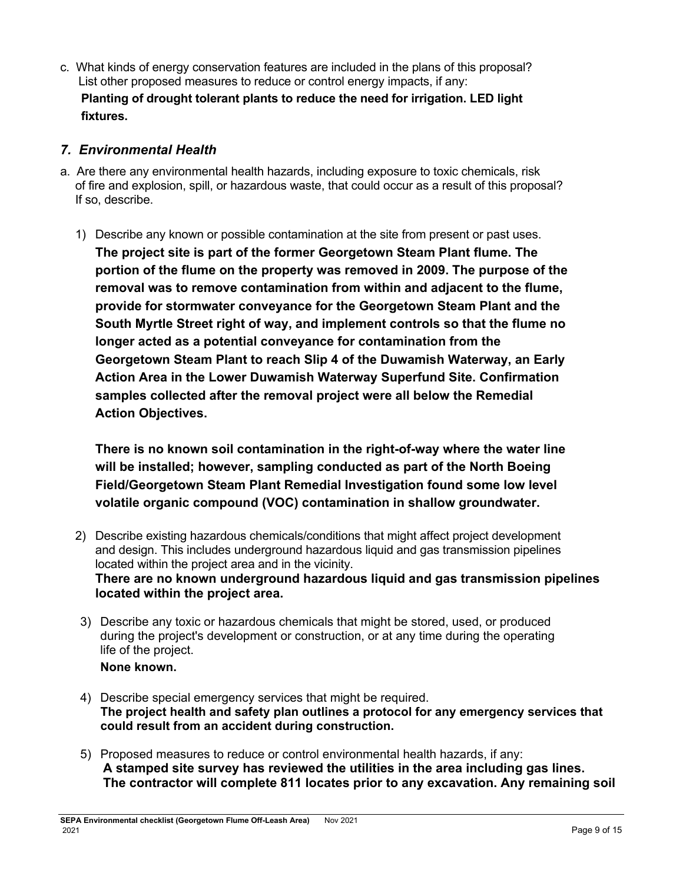c. What kinds of energy conservation features are included in the plans of this proposal? List other proposed measures to reduce or control energy impacts, if any: **Planting of drought tolerant plants to reduce the need for irrigation. LED light fixtures.**

## *7. Environmental Health*

- a. Are there any environmental health hazards, including exposure to toxic chemicals, risk of fire and explosion, spill, or hazardous waste, that could occur as a result of this proposal? If so, describe.
	- 1) Describe any known or possible contamination at the site from present or past uses. **The project site is part of the former Georgetown Steam Plant flume. The portion of the flume on the property was removed in 2009. The purpose of the removal was to remove contamination from within and adjacent to the flume, provide for stormwater conveyance for the Georgetown Steam Plant and the South Myrtle Street right of way, and implement controls so that the flume no longer acted as a potential conveyance for contamination from the Georgetown Steam Plant to reach Slip 4 of the Duwamish Waterway, an Early Action Area in the Lower Duwamish Waterway Superfund Site. Confirmation samples collected after the removal project were all below the Remedial Action Objectives.**

**There is no known soil contamination in the right-of-way where the water line will be installed; however, sampling conducted as part of the North Boeing Field/Georgetown Steam Plant Remedial Investigation found some low level volatile organic compound (VOC) contamination in shallow groundwater.**

- 2) Describe existing hazardous chemicals/conditions that might affect project development and design. This includes underground hazardous liquid and gas transmission pipelines located within the project area and in the vicinity. **There are no known underground hazardous liquid and gas transmission pipelines located within the project area.**
- 3) Describe any toxic or hazardous chemicals that might be stored, used, or produced during the project's development or construction, or at any time during the operating life of the project.

### **None known.**

- 4) Describe special emergency services that might be required. **The project health and safety plan outlines a protocol for any emergency services that could result from an accident during construction.**
- 5) Proposed measures to reduce or control environmental health hazards, if any: **A stamped site survey has reviewed the utilities in the area including gas lines. The contractor will complete 811 locates prior to any excavation. Any remaining soil**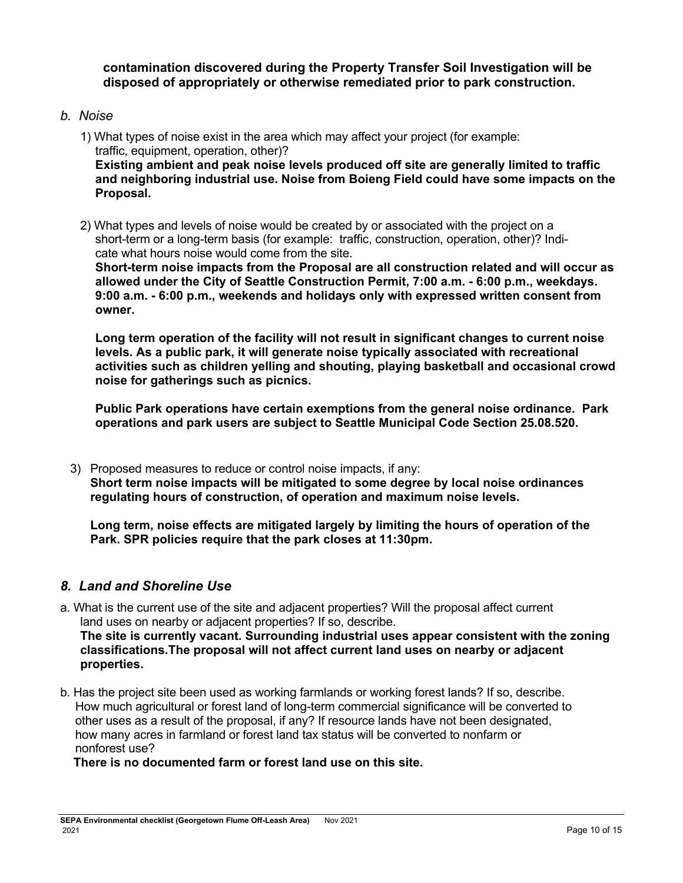**contamination discovered during the Property Transfer Soil Investigation will be disposed of appropriately or otherwise remediated prior to park construction.**

### *b. Noise*

- 1) What types of noise exist in the area which may affect your project (for example: traffic, equipment, operation, other)? **Existing ambient and peak noise levels produced off site are generally limited to traffic and neighboring industrial use. Noise from Boieng Field could have some impacts on the Proposal.**
- 2) What types and levels of noise would be created by or associated with the project on a short-term or a long-term basis (for example: traffic, construction, operation, other)? Indicate what hours noise would come from the site.

**Short-term noise impacts from the Proposal are all construction related and will occur as allowed under the City of Seattle Construction Permit, 7:00 a.m. - 6:00 p.m., weekdays. 9:00 a.m. - 6:00 p.m., weekends and holidays only with expressed written consent from owner.**

**Long term operation of the facility will not result in significant changes to current noise levels. As a public park, it will generate noise typically associated with recreational activities such as children yelling and shouting, playing basketball and occasional crowd noise for gatherings such as picnics.** 

**Public Park operations have certain exemptions from the general noise ordinance. Park operations and park users are subject to Seattle Municipal Code Section 25.08.520.**

3) Proposed measures to reduce or control noise impacts, if any: **Short term noise impacts will be mitigated to some degree by local noise ordinances regulating hours of construction, of operation and maximum noise levels.**

**Long term, noise effects are mitigated largely by limiting the hours of operation of the Park. SPR policies require that the park closes at 11:30pm.**

## *8. Land and Shoreline Use*

- a. What is the current use of the site and adjacent properties? Will the proposal affect current land uses on nearby or adjacent properties? If so, describe. **The site is currently vacant. Surrounding industrial uses appear consistent with the zoning classifications.The proposal will not affect current land uses on nearby or adjacent properties.**
- b. Has the project site been used as working farmlands or working forest lands? If so, describe. How much agricultural or forest land of long-term commercial significance will be converted to other uses as a result of the proposal, if any? If resource lands have not been designated, how many acres in farmland or forest land tax status will be converted to nonfarm or nonforest use?

**There is no documented farm or forest land use on this site.**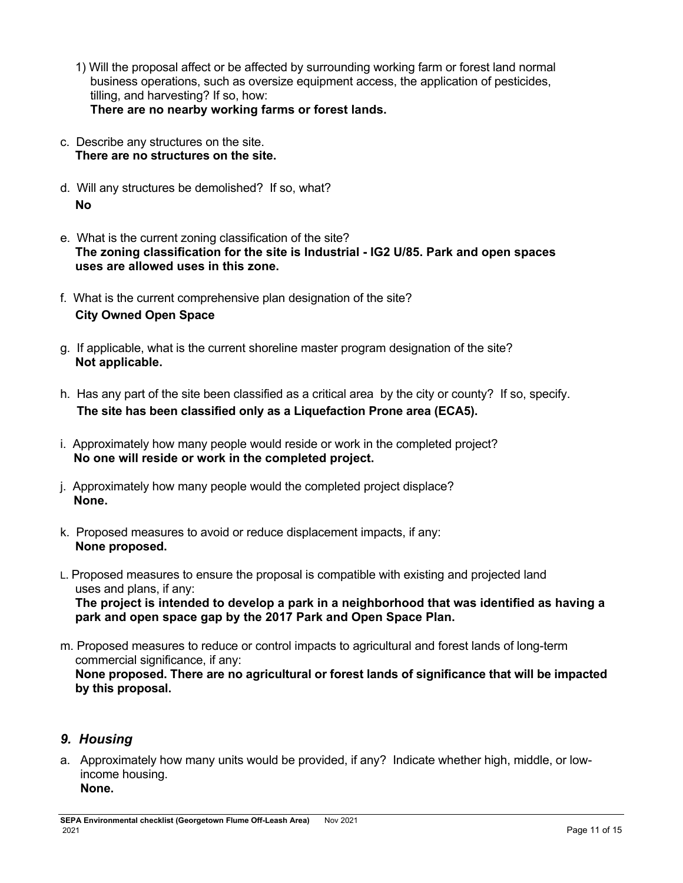- 1) Will the proposal affect or be affected by surrounding working farm or forest land normal business operations, such as oversize equipment access, the application of pesticides, tilling, and harvesting? If so, how: **There are no nearby working farms or forest lands.**
- c. Describe any structures on the site. **There are no structures on the site.**
- d. Will any structures be demolished? If so, what? **No**
- e. What is the current zoning classification of the site? **The zoning classification for the site is Industrial - IG2 U/85. Park and open spaces uses are allowed uses in this zone.**
- f. What is the current comprehensive plan designation of the site? **City Owned Open Space**
- g. If applicable, what is the current shoreline master program designation of the site? **Not applicable.**
- h. Has any part of the site been classified as a critical area by the city or county? If so, specify.  **The site has been classified only as a Liquefaction Prone area (ECA5).**
- i. Approximately how many people would reside or work in the completed project? **No one will reside or work in the completed project.**
- j. Approximately how many people would the completed project displace? **None.**
- k. Proposed measures to avoid or reduce displacement impacts, if any: **None proposed.**
- L. Proposed measures to ensure the proposal is compatible with existing and projected land uses and plans, if any:

**The project is intended to develop a park in a neighborhood that was identified as having a park and open space gap by the 2017 Park and Open Space Plan.**

m. Proposed measures to reduce or control impacts to agricultural and forest lands of long-term commercial significance, if any: **None proposed. There are no agricultural or forest lands of significance that will be impacted by this proposal.**

# *9. Housing*

a. Approximately how many units would be provided, if any? Indicate whether high, middle, or lowincome housing. **None.**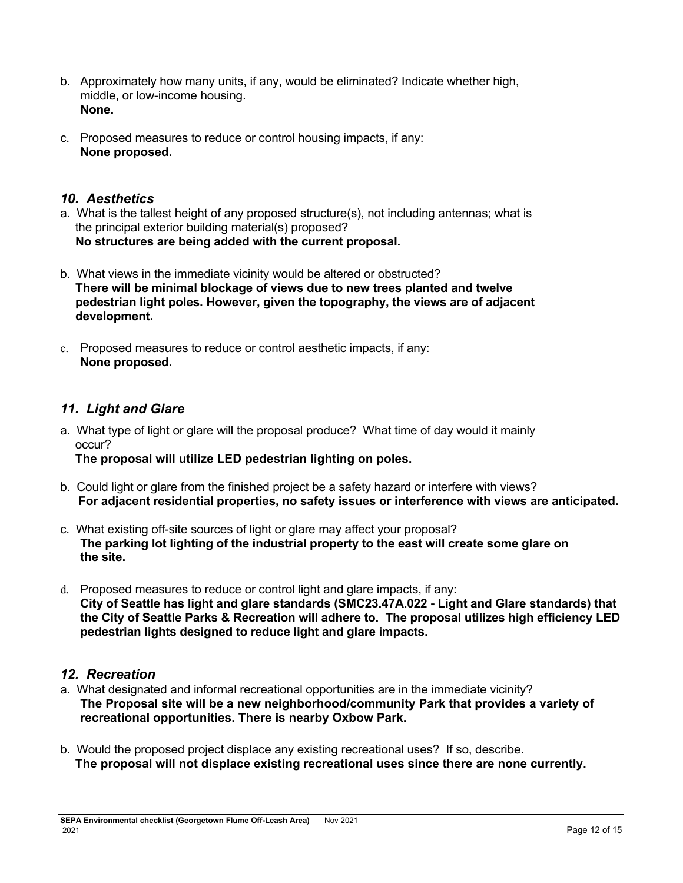- b. Approximately how many units, if any, would be eliminated? Indicate whether high, middle, or low-income housing. **None.**
- c. Proposed measures to reduce or control housing impacts, if any: **None proposed.**

## *10. Aesthetics*

- a. What is the tallest height of any proposed structure(s), not including antennas; what is the principal exterior building material(s) proposed? **No structures are being added with the current proposal.**
- b. What views in the immediate vicinity would be altered or obstructed? **There will be minimal blockage of views due to new trees planted and twelve pedestrian light poles. However, given the topography, the views are of adjacent development.**
- c. Proposed measures to reduce or control aesthetic impacts, if any: **None proposed.**

# *11. Light and Glare*

a. What type of light or glare will the proposal produce? What time of day would it mainly occur?

**The proposal will utilize LED pedestrian lighting on poles.**

- b. Could light or glare from the finished project be a safety hazard or interfere with views? **For adjacent residential properties, no safety issues or interference with views are anticipated.**
- c. What existing off-site sources of light or glare may affect your proposal? **The parking lot lighting of the industrial property to the east will create some glare on the site.**
- d. Proposed measures to reduce or control light and glare impacts, if any: **City of Seattle has light and glare standards (SMC23.47A.022 - Light and Glare standards) that the City of Seattle Parks & Recreation will adhere to. The proposal utilizes high efficiency LED pedestrian lights designed to reduce light and glare impacts.**

## *12. Recreation*

- a. What designated and informal recreational opportunities are in the immediate vicinity? **The Proposal site will be a new neighborhood/community Park that provides a variety of recreational opportunities. There is nearby Oxbow Park.**
- b. Would the proposed project displace any existing recreational uses? If so, describe. **The proposal will not displace existing recreational uses since there are none currently.**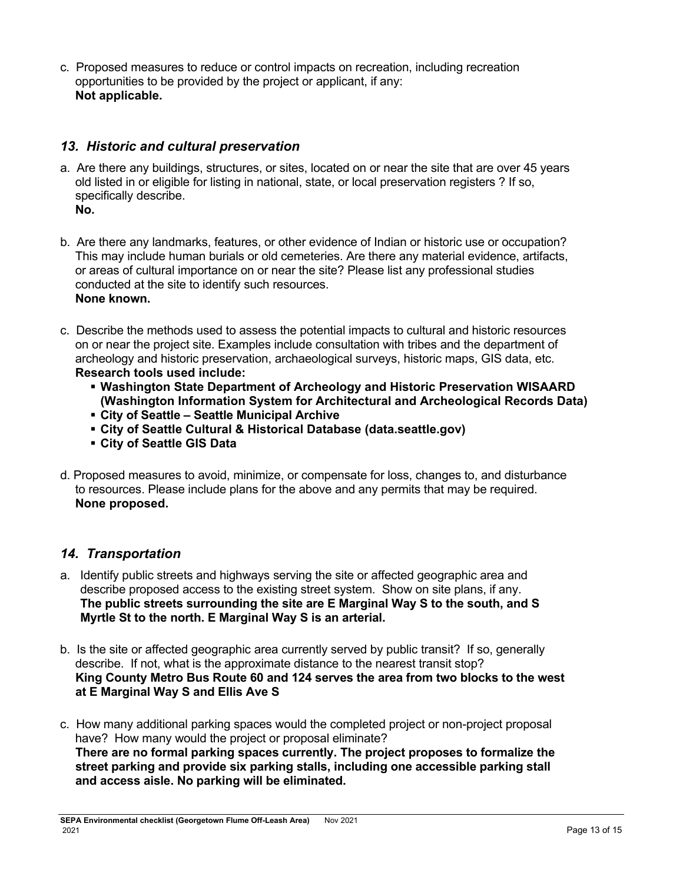c. Proposed measures to reduce or control impacts on recreation, including recreation opportunities to be provided by the project or applicant, if any: **Not applicable.**

## *13. Historic and cultural preservation*

- a. Are there any buildings, structures, or sites, located on or near the site that are over 45 years old listed in or eligible for listing in national, state, or local preservation registers ? If so, specifically describe. **No.**
- b. Are there any landmarks, features, or other evidence of Indian or historic use or occupation? This may include human burials or old cemeteries. Are there any material evidence, artifacts, or areas of cultural importance on or near the site? Please list any professional studies conducted at the site to identify such resources. **None known.**
- c. Describe the methods used to assess the potential impacts to cultural and historic resources on or near the project site. Examples include consultation with tribes and the department of archeology and historic preservation, archaeological surveys, historic maps, GIS data, etc. **Research tools used include:**
	- **Washington State Department of Archeology and Historic Preservation WISAARD (Washington Information System for Architectural and Archeological Records Data)**
	- **City of Seattle – Seattle Municipal Archive**
	- **City of Seattle Cultural & Historical Database (data.seattle.gov)**
	- **City of Seattle GIS Data**
- d. Proposed measures to avoid, minimize, or compensate for loss, changes to, and disturbance to resources. Please include plans for the above and any permits that may be required. **None proposed.**

## *14. Transportation*

- a. Identify public streets and highways serving the site or affected geographic area and describe proposed access to the existing street system. Show on site plans, if any. **The public streets surrounding the site are E Marginal Way S to the south, and S Myrtle St to the north. E Marginal Way S is an arterial.**
- b. Is the site or affected geographic area currently served by public transit? If so, generally describe. If not, what is the approximate distance to the nearest transit stop? **King County Metro Bus Route 60 and 124 serves the area from two blocks to the west at E Marginal Way S and Ellis Ave S**
- c. How many additional parking spaces would the completed project or non-project proposal have? How many would the project or proposal eliminate? **There are no formal parking spaces currently. The project proposes to formalize the street parking and provide six parking stalls, including one accessible parking stall and access aisle. No parking will be eliminated.**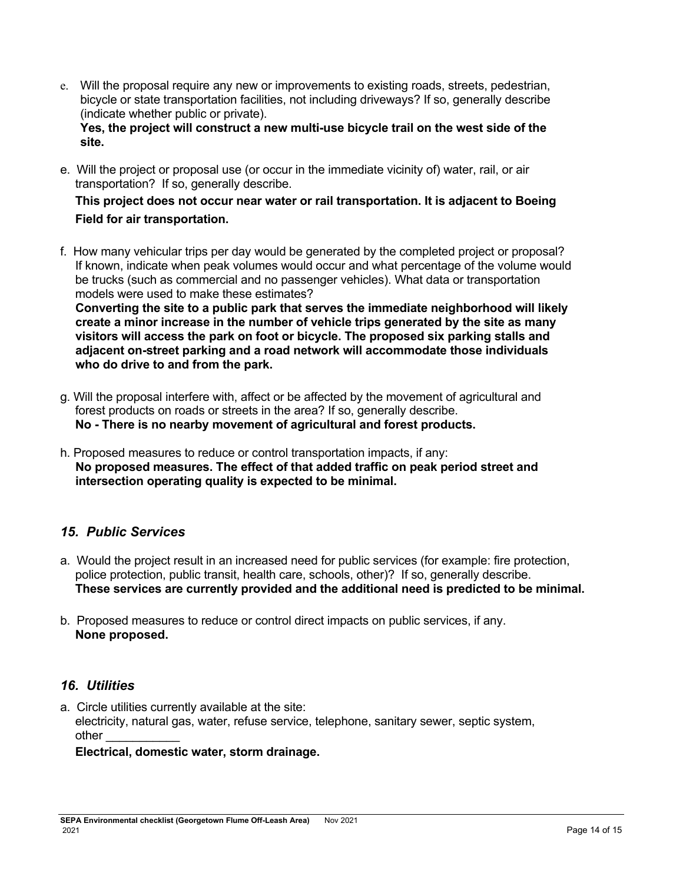e. Will the proposal require any new or improvements to existing roads, streets, pedestrian, bicycle or state transportation facilities, not including driveways? If so, generally describe (indicate whether public or private).

**Yes, the project will construct a new multi-use bicycle trail on the west side of the site.**

e. Will the project or proposal use (or occur in the immediate vicinity of) water, rail, or air transportation? If so, generally describe.

## **This project does not occur near water or rail transportation. It is adjacent to Boeing Field for air transportation.**

f. How many vehicular trips per day would be generated by the completed project or proposal? If known, indicate when peak volumes would occur and what percentage of the volume would be trucks (such as commercial and no passenger vehicles). What data or transportation models were used to make these estimates?

**Converting the site to a public park that serves the immediate neighborhood will likely create a minor increase in the number of vehicle trips generated by the site as many visitors will access the park on foot or bicycle. The proposed six parking stalls and adjacent on-street parking and a road network will accommodate those individuals who do drive to and from the park.** 

- g. Will the proposal interfere with, affect or be affected by the movement of agricultural and forest products on roads or streets in the area? If so, generally describe. **No - There is no nearby movement of agricultural and forest products.**
- h. Proposed measures to reduce or control transportation impacts, if any: **No proposed measures. The effect of that added traffic on peak period street and intersection operating quality is expected to be minimal.**

# *15. Public Services*

- a. Would the project result in an increased need for public services (for example: fire protection, police protection, public transit, health care, schools, other)? If so, generally describe. **These services are currently provided and the additional need is predicted to be minimal.**
- b. Proposed measures to reduce or control direct impacts on public services, if any. **None proposed.**

## *16. Utilities*

a. Circle utilities currently available at the site: electricity, natural gas, water, refuse service, telephone, sanitary sewer, septic system, other

### **Electrical, domestic water, storm drainage.**